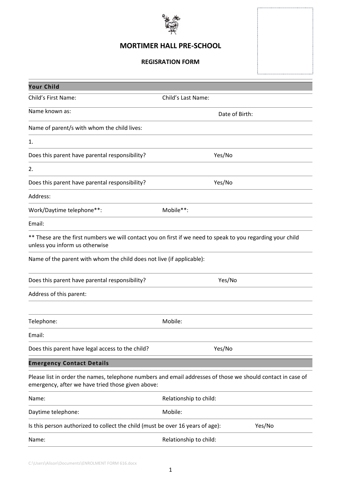

## **MORTIMER HALL PRE-SCHOOL**

#### **REGISRATION FORM**

| <b>Your Child</b>                                                              |                                                                                                             |  |  |
|--------------------------------------------------------------------------------|-------------------------------------------------------------------------------------------------------------|--|--|
| Child's First Name:                                                            | Child's Last Name:                                                                                          |  |  |
| Name known as:                                                                 | Date of Birth:                                                                                              |  |  |
| Name of parent/s with whom the child lives:                                    |                                                                                                             |  |  |
| 1.                                                                             |                                                                                                             |  |  |
| Does this parent have parental responsibility?                                 | Yes/No                                                                                                      |  |  |
| 2.                                                                             |                                                                                                             |  |  |
| Does this parent have parental responsibility?                                 | Yes/No                                                                                                      |  |  |
| Address:                                                                       |                                                                                                             |  |  |
| Work/Daytime telephone**:                                                      | Mobile**:                                                                                                   |  |  |
| Email:                                                                         |                                                                                                             |  |  |
| unless you inform us otherwise                                                 | ** These are the first numbers we will contact you on first if we need to speak to you regarding your child |  |  |
| Name of the parent with whom the child does not live (if applicable):          |                                                                                                             |  |  |
| Does this parent have parental responsibility?                                 | Yes/No                                                                                                      |  |  |
| Address of this parent:                                                        |                                                                                                             |  |  |
| Telephone:                                                                     | Mobile:                                                                                                     |  |  |
| Email:                                                                         |                                                                                                             |  |  |
| Does this parent have legal access to the child?                               | Yes/No                                                                                                      |  |  |
| <b>Emergency Contact Details</b>                                               |                                                                                                             |  |  |
| emergency, after we have tried those given above:                              | Please list in order the names, telephone numbers and email addresses of those we should contact in case of |  |  |
| Name:                                                                          | Relationship to child:                                                                                      |  |  |
| Daytime telephone:                                                             | Mobile:                                                                                                     |  |  |
| Is this person authorized to collect the child (must be over 16 years of age): | Yes/No                                                                                                      |  |  |
| Name:                                                                          | Relationship to child:                                                                                      |  |  |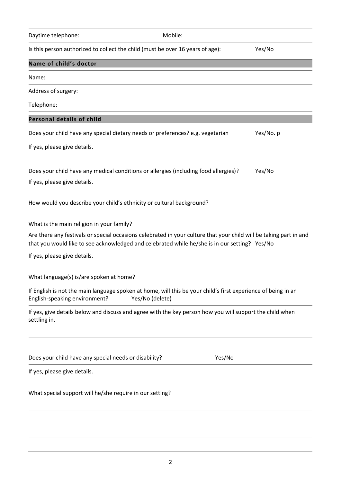# Telephone: **Personal details of child** Does your child have any special dietary needs or preferences? e.g. vegetarian Yes/No. p If yes, please give details. Does your child have any medical conditions or allergies (including food allergies)? Yes/No If yes, please give details. How would you describe your child's ethnicity or cultural background? What is the main religion in your family? that you would like to see acknowledged and celebrated while he/she is in our setting? Yes/No If yes, please give details. What language(s) is/are spoken at home? English-speaking environment? Yes/No (delete) settling in. Does your child have any special needs or disability? Yes/No If yes, please give details.

**Name of child's doctor**

Name:

Address of surgery:

Are there any festivals or special occasions celebrated in your culture that your child will be taking part in and

If English is not the main language spoken at home, will this be your child's first experience of being in an

If yes, give details below and discuss and agree with the key person how you will support the child when

What special support will he/she require in our setting?

Daytime telephone: Mobile:

Is this person authorized to collect the child (must be over 16 years of age): Yes/No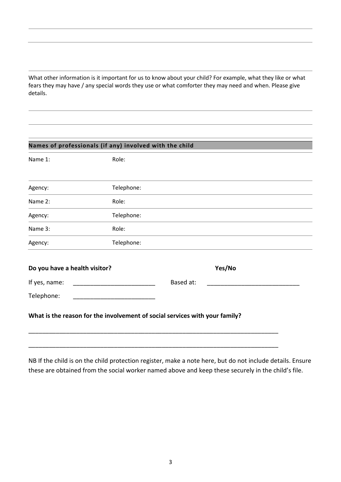What other information is it important for us to know about your child? For example, what they like or what fears they may have / any special words they use or what comforter they may need and when. Please give details.

| Names of professionals (if any) involved with the child |                                                                             |           |        |  |  |  |  |
|---------------------------------------------------------|-----------------------------------------------------------------------------|-----------|--------|--|--|--|--|
| Name 1:                                                 | Role:                                                                       |           |        |  |  |  |  |
|                                                         |                                                                             |           |        |  |  |  |  |
| Agency:                                                 | Telephone:                                                                  |           |        |  |  |  |  |
| Name 2:                                                 | Role:                                                                       |           |        |  |  |  |  |
| Agency:                                                 | Telephone:                                                                  |           |        |  |  |  |  |
| Name 3:                                                 | Role:                                                                       |           |        |  |  |  |  |
| Agency:                                                 | Telephone:                                                                  |           |        |  |  |  |  |
| Do you have a health visitor?                           |                                                                             |           | Yes/No |  |  |  |  |
| If yes, name:                                           |                                                                             | Based at: |        |  |  |  |  |
| Telephone:                                              |                                                                             |           |        |  |  |  |  |
|                                                         | What is the reason for the involvement of social services with your family? |           |        |  |  |  |  |
|                                                         |                                                                             |           |        |  |  |  |  |

NB If the child is on the child protection register, make a note here, but do not include details. Ensure these are obtained from the social worker named above and keep these securely in the child's file.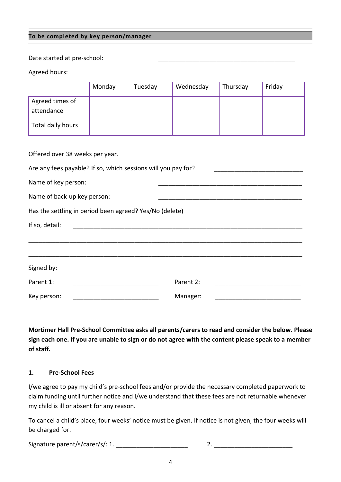#### **To be completed by key person/manager**

Date started at pre-school:

Agreed hours:

|                                                               | Monday | Tuesday | Wednesday | Thursday | Friday |  |  |  |  |
|---------------------------------------------------------------|--------|---------|-----------|----------|--------|--|--|--|--|
| Agreed times of                                               |        |         |           |          |        |  |  |  |  |
| attendance                                                    |        |         |           |          |        |  |  |  |  |
| Total daily hours                                             |        |         |           |          |        |  |  |  |  |
|                                                               |        |         |           |          |        |  |  |  |  |
| Offered over 38 weeks per year.                               |        |         |           |          |        |  |  |  |  |
| Are any fees payable? If so, which sessions will you pay for? |        |         |           |          |        |  |  |  |  |
| Name of key person:                                           |        |         |           |          |        |  |  |  |  |
| Name of back-up key person:                                   |        |         |           |          |        |  |  |  |  |
| Has the settling in period been agreed? Yes/No (delete)       |        |         |           |          |        |  |  |  |  |
| If so, detail:                                                |        |         |           |          |        |  |  |  |  |
|                                                               |        |         |           |          |        |  |  |  |  |
|                                                               |        |         |           |          |        |  |  |  |  |
| Signed by:                                                    |        |         |           |          |        |  |  |  |  |
| Parent 1:                                                     |        |         | Parent 2: |          |        |  |  |  |  |
| Key person:                                                   |        |         | Manager:  |          |        |  |  |  |  |

**Mortimer Hall Pre-School Committee asks all parents/carers to read and consider the below. Please sign each one. If you are unable to sign or do not agree with the content please speak to a member of staff.**

#### **1. Pre-School Fees**

I/we agree to pay my child's pre-school fees and/or provide the necessary completed paperwork to claim funding until further notice and I/we understand that these fees are not returnable whenever my child is ill or absent for any reason.

To cancel a child's place, four weeks' notice must be given. If notice is not given, the four weeks will be charged for.

Signature parent/s/carer/s/: 1. \_\_\_\_\_\_\_\_\_\_\_\_\_\_\_\_\_\_\_\_\_ 2. \_\_\_\_\_\_\_\_\_\_\_\_\_\_\_\_\_\_\_\_\_\_\_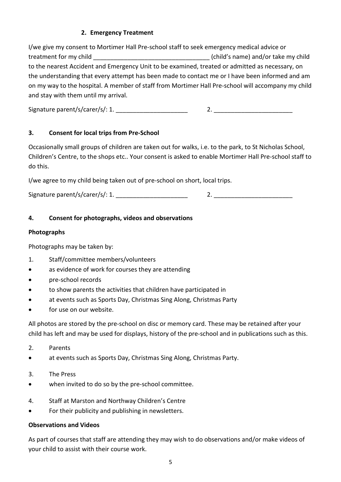## **2. Emergency Treatment**

I/we give my consent to Mortimer Hall Pre-school staff to seek emergency medical advice or treatment for my child \_\_\_\_\_\_\_\_\_\_\_\_\_\_\_\_\_\_\_\_\_\_\_\_\_\_\_\_\_\_\_\_\_\_ (child's name) and/or take my child to the nearest Accident and Emergency Unit to be examined, treated or admitted as necessary, on the understanding that every attempt has been made to contact me or I have been informed and am on my way to the hospital. A member of staff from Mortimer Hall Pre-school will accompany my child and stay with them until my arrival.

Signature parent/s/carer/s/: 1. \_\_\_\_\_\_\_\_\_\_\_\_\_\_\_\_\_\_\_\_\_ 2. \_\_\_\_\_\_\_\_\_\_\_\_\_\_\_\_\_\_\_\_\_\_\_

## **3. Consent for local trips from Pre-School**

Occasionally small groups of children are taken out for walks, i.e. to the park, to St Nicholas School, Children's Centre, to the shops etc.. Your consent is asked to enable Mortimer Hall Pre-school staff to do this.

I/we agree to my child being taken out of pre-school on short, local trips.

Signature parent/s/carer/s/: 1.  $\qquad \qquad$  2.

## **4. Consent for photographs, videos and observations**

## **Photographs**

Photographs may be taken by:

- 1. Staff/committee members/volunteers
- as evidence of work for courses they are attending
- pre-school records
- to show parents the activities that children have participated in
- at events such as Sports Day, Christmas Sing Along, Christmas Party
- for use on our website.

All photos are stored by the pre-school on disc or memory card. These may be retained after your child has left and may be used for displays, history of the pre-school and in publications such as this.

- 2. Parents
- at events such as Sports Day, Christmas Sing Along, Christmas Party.
- 3. The Press
- when invited to do so by the pre-school committee.
- 4. Staff at Marston and Northway Children's Centre
- For their publicity and publishing in newsletters.

## **Observations and Videos**

As part of courses that staff are attending they may wish to do observations and/or make videos of your child to assist with their course work.